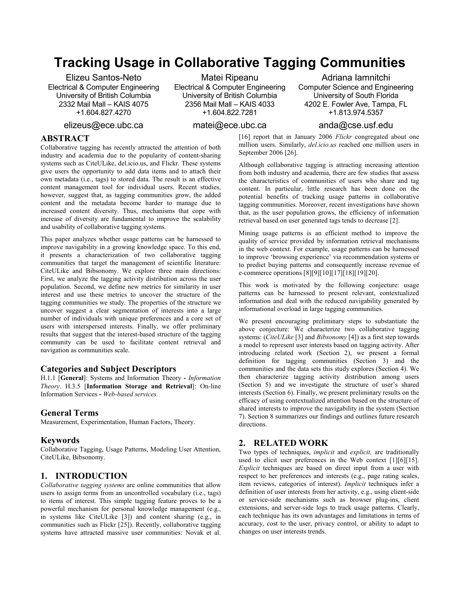# Tracking Usage in Collaborative Tagging Communities

Elizeu Santos-Neto Electrical & Computer Engineering University of British Columbia 2332 Mail Mall – KAIS 4075 +1.604.827.4270

Matei Ripeanu Electrical & Computer Engineering University of British Columbia 2356 Mail Mall – KAIS 4033 +1.604.822.7281

Adriana Iamnitchi Computer Science and Engineering University of South Florida 4202 E. Fowler Ave, Tampa, FL +1.813.974.5357

elizeus@ece.ubc.ca

## matei@ece.ubc.ca

# ABSTRACT

Collaborative tagging has recently attracted the attention of both industry and academia due to the popularity of content-sharing systems such as CiteULike, del.icio.us, and Flickr. These systems give users the opportunity to add data items and to attach their own metadata (i.e., tags) to stored data. The result is an effective content management tool for individual users. Recent studies, however, suggest that, as tagging communities grow, the added content and the metadata become harder to manage due to increased content diversity. Thus, mechanisms that cope with increase of diversity are fundamental to improve the scalability and usability of collaborative tagging systems.

This paper analyzes whether usage patterns can be harnessed to improve navigability in a growing knowledge space. To this end, it presents a characterization of two collaborative tagging communities that target the management of scientific literature: CiteULike and Bibsonomy. We explore three main directions: First, we analyze the tagging activity distribution across the user population. Second, we define new metrics for similarity in user interest and use these metrics to uncover the structure of the tagging communities we study. The properties of the structure we uncover suggest a clear segmentation of interests into a large number of individuals with unique preferences and a core set of users with interspersed interests. Finally, we offer preliminary results that suggest that the interest-based structure of the tagging community can be used to facilitate content retrieval and navigation as communities scale.

#### Categories and Subject Descriptors

H.1.1 [General]: Systems and Information Theory - Information Theory. H.3.5 [Information Storage and Retrieval]: On-line Information Services - Web-based services.

#### General Terms

Measurement, Experimentation, Human Factors, Theory.

#### Keywords

Collaborative Tagging, Usage Patterns, Modeling User Attention, CiteULike, Bibsonomy.

## 1. INTRODUCTION

Collaborative tagging systems are online communities that allow users to assign terms from an uncontrolled vocabulary (i.e., tags) to items of interest. This simple tagging feature proves to be a powerful mechanism for personal knowledge management (e.g., in systems like CiteULike [3]) and content sharing (e.g., in communities such as Flickr [25]). Recently, collaborative tagging systems have attracted massive user communities: Novak et al.

## anda@cse.usf.edu

[16] report that in January 2006 Flickr congregated about one million users. Similarly, del.icio.us reached one million users in September 2006 [26].

Although collaborative tagging is attracting increasing attention from both industry and academia, there are few studies that assess the characteristics of communities of users who share and tag content. In particular, little research has been done on the potential benefits of tracking usage patterns in collaborative tagging communities. Moreover, recent investigations have shown that, as the user population grows, the efficiency of information retrieval based on user generated tags tends to decrease [2].

Mining usage patterns is an efficient method to improve the quality of service provided by information retrieval mechanisms in the web context. For example, usage patterns can be harnessed to improve 'browsing experience' via recommendation systems or to predict buying patterns and consequently increase revenue of e-commerce operations  $[8][9][10][17][18][19][20]$ .

This work is motivated by the following conjecture: usage patterns can be harnessed to present relevant, contextualized information and deal with the reduced navigability generated by informational overload in large tagging communities.

We present encouraging preliminary steps to substantiate the above conjecture: We characterize two collaborative tagging systems: (CiteULike [3] and Bibsonomy [4]) as a first step towards a model to represent user interests based on tagging activity. After introducing related work (Section 2), we present a formal definition for tagging communities (Section 3) and the communities and the data sets this study explores (Section 4). We then characterize tagging activity distribution among users (Section 5) and we investigate the structure of user's shared interests (Section 6). Finally, we present preliminary results on the efficacy of using contextualized attention based on the structure of shared interests to improve the navigability in the system (Section 7). Section 8 summarizes our findings and outlines future research directions.

# 2. RELATED WORK

Two types of techniques, implicit and explicit, are traditionally used to elicit user preferences in the Web context [1][6][15]. Explicit techniques are based on direct input from a user with respect to her preferences and interests (e.g., page rating scales, item reviews, categories of interest). Implicit techniques infer a definition of user interests from her activity, e.g., using client-side or service-side mechanisms such as browser plug-ins, client extensions, and server-side logs to track usage patterns. Clearly, each technique has its own advantages and limitations in terms of accuracy, cost to the user, privacy control, or ability to adapt to changes on user interests trends.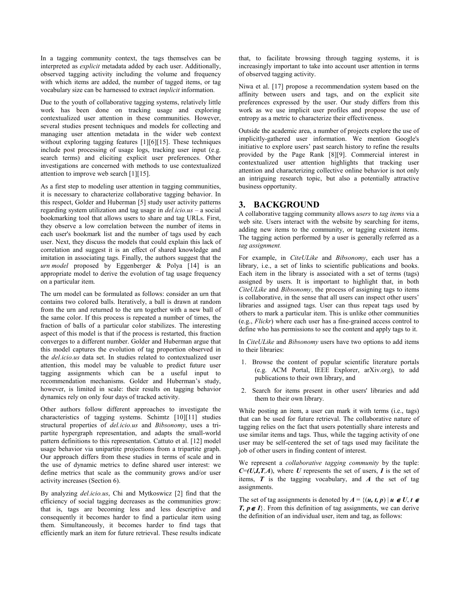In a tagging community context, the tags themselves can be interpreted as explicit metadata added by each user. Additionally, observed tagging activity including the volume and frequency with which items are added, the number of tagged items, or tag vocabulary size can be harnessed to extract implicit information.

Due to the youth of collaborative tagging systems, relatively little work has been done on tracking usage and exploring contextualized user attention in these communities. However, several studies present techniques and models for collecting and managing user attention metadata in the wider web context without exploring tagging features [1][6][15]. These techniques include post processing of usage logs, tracking user input (e.g. search terms) and eliciting explicit user preferences. Other investigations are concerned with methods to use contextualized attention to improve web search [1][15].

As a first step to modeling user attention in tagging communities, it is necessary to characterize collaborative tagging behavior. In this respect, Golder and Huberman [5] study user activity patterns regarding system utilization and tag usage in  $del.icio.us - a social$ bookmarking tool that allows users to share and tag URLs. First, they observe a low correlation between the number of items in each user's bookmark list and the number of tags used by each user. Next, they discuss the models that could explain this lack of correlation and suggest it is an effect of shared knowledge and imitation in associating tags. Finally, the authors suggest that the urn model proposed by Eggenberger  $\&$  Polya [14] is an appropriate model to derive the evolution of tag usage frequency on a particular item.

The urn model can be formulated as follows: consider an urn that contains two colored balls. Iteratively, a ball is drawn at random from the urn and returned to the urn together with a new ball of the same color. If this process is repeated a number of times, the fraction of balls of a particular color stabilizes. The interesting aspect of this model is that if the process is restarted, this fraction converges to a different number. Golder and Huberman argue that this model captures the evolution of tag proportion observed in the del.icio.us data set. In studies related to contextualized user attention, this model may be valuable to predict future user tagging assignments which can be a useful input to recommendation mechanisms. Golder and Huberman's study, however, is limited in scale: their results on tagging behavior dynamics rely on only four days of tracked activity.

Other authors follow different approaches to investigate the characteristics of tagging systems. Schimtz [10][11] studies structural properties of del.icio.us and Bibsonomy, uses a tripartite hypergraph representation, and adapts the small-world pattern definitions to this representation. Cattuto et al. [12] model usage behavior via unipartite projections from a tripartite graph. Our approach differs from these studies in terms of scale and in the use of dynamic metrics to define shared user interest: we define metrics that scale as the community grows and/or user activity increases (Section 6).

By analyzing *del.icio.us*, Chi and Mytkoswicz [2] find that the efficiency of social tagging decreases as the communities grow: that is, tags are becoming less and less descriptive and consequently it becomes harder to find a particular item using them. Simultaneously, it becomes harder to find tags that efficiently mark an item for future retrieval. These results indicate that, to facilitate browsing through tagging systems, it is increasingly important to take into account user attention in terms of observed tagging activity.

Niwa et al. [17] propose a recommendation system based on the affinity between users and tags, and on the explicit site preferences expressed by the user. Our study differs from this work as we use implicit user profiles and propose the use of entropy as a metric to characterize their effectiveness.

Outside the academic area, a number of projects explore the use of implicitly-gathered user information. We mention Google's initiative to explore users' past search history to refine the results provided by the Page Rank [8][9]. Commercial interest in contextualized user attention highlights that tracking user attention and characterizing collective online behavior is not only an intriguing research topic, but also a potentially attractive business opportunity.

# 3. BACKGROUND

A collaborative tagging community allows users to tag items via a web site. Users interact with the website by searching for items, adding new items to the community, or tagging existent items. The tagging action performed by a user is generally referred as a tag assignment.

For example, in *CiteULike* and *Bibsonomy*, each user has a library, i.e., a set of links to scientific publications and books. Each item in the library is associated with a set of terms (tags) assigned by users. It is important to highlight that, in both CiteULike and Bibsonomy, the process of assigning tags to items is collaborative, in the sense that all users can inspect other users' libraries and assigned tags. User can thus repeat tags used by others to mark a particular item. This is unlike other communities (e.g., Flickr) where each user has a fine-grained access control to define who has permissions to see the content and apply tags to it.

In CiteULike and Bibsonomy users have two options to add items to their libraries:

- 1. Browse the content of popular scientific literature portals (e.g. ACM Portal, IEEE Explorer, arXiv.org), to add publications to their own library, and
- 2. Search for items present in other users' libraries and add them to their own library.

While posting an item, a user can mark it with terms (i.e., tags) that can be used for future retrieval. The collaborative nature of tagging relies on the fact that users potentially share interests and use similar items and tags. Thus, while the tagging activity of one user may be self-centered the set of tags used may facilitate the job of other users in finding content of interest.

We represent a *collaborative tagging community* by the tuple:  $C=(U,I,T,A)$ , where U represents the set of users, I is the set of items,  $T$  is the tagging vocabulary, and  $A$  the set of tag assignments.

The set of tag assignments is denoted by  $A = \{(u, t, p) | u \in U, t \in$ **T,**  $p \in I$ . From this definition of tag assignments, we can derive the definition of an individual user, item and tag, as follows: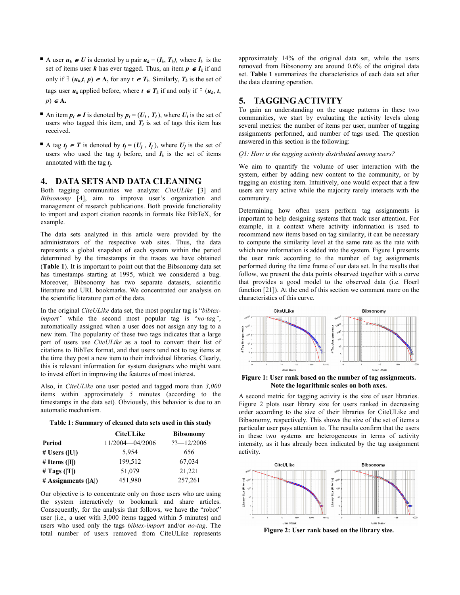A user  $u_k \in U$  is denoted by a pair  $u_k = (I_k, T_k)$ , where  $I_k$  is the set of items user k has ever tagged. Thus, an item  $p \in I_k$  if and only if  $\exists$  ( $u_k$ ,*t*,  $p$ )  $\in$  **A**, for any t  $\in$  **T**<sub>k</sub>. Similarly, **T**<sub>k</sub> is the set of

tags user  $u_k$  applied before, where  $t \in T_k$  if and only if  $\exists$   $(u_k, t,$  $p) \in A$ .

- An item  $p_i \in I$  is denoted by  $p_i = (U_i, T_i)$ , where  $U_i$  is the set of users who tagged this item, and  $T_i$  is set of tags this item has received.
- A tag  $t_j \in T$  is denoted by  $t_j = (U_j, I_j)$ , where  $U_j$  is the set of users who used the tag  $t_i$  before, and  $I_k$  is the set of items annotated with the tag  $t_j$ .

## 4. DATA SETS AND DATA CLEANING

Both tagging communities we analyze: CiteULike [3] and Bibsonomy [4], aim to improve user's organization and management of research publications. Both provide functionality to import and export citation records in formats like BibTeX, for example.

The data sets analyzed in this article were provided by the administrators of the respective web sites. Thus, the data represents a global snapshot of each system within the period determined by the timestamps in the traces we have obtained (Table 1). It is important to point out that the Bibsonomy data set has timestamps starting at 1995, which we considered a bug. Moreover, Bibsonomy has two separate datasets, scientific literature and URL bookmarks. We concentrated our analysis on the scientific literature part of the data.

In the original CiteULike data set, the most popular tag is "bibteximport" while the second most popular tag is "no-tag", automatically assigned when a user does not assign any tag to a new item. The popularity of these two tags indicates that a large part of users use CiteULike as a tool to convert their list of citations to BibTex format, and that users tend not to tag items at the time they post a new item to their individual libraries. Clearly, this is relevant information for system designers who might want to invest effort in improving the features of most interest.

Also, in *CiteULike* one user posted and tagged more than  $3,000$ items within approximately 5 minutes (according to the timestamps in the data set). Obviously, this behavior is due to an automatic mechanism.



|                       | <b>CiteULike</b> | <b>Bibsonomy</b> |
|-----------------------|------------------|------------------|
| Period                | 11/2004-04/2006  | $?2 - 12/2006$   |
| # Users $( U )$       | 5.954            | 656              |
| # Items $( I )$       | 199,512          | 67,034           |
| # Tags $( T )$        | 51,079           | 21,221           |
| # Assignments $( A )$ | 451,980          | 257,261          |

Our objective is to concentrate only on those users who are using the system interactively to bookmark and share articles. Consequently, for the analysis that follows, we have the "robot" user (i.e., a user with 3,000 items tagged within 5 minutes) and users who used only the tags bibtex-import and/or no-tag. The total number of users removed from CiteULike represents

approximately 14% of the original data set, while the users removed from Bibsonomy are around 0.6% of the original data set. Table 1 summarizes the characteristics of each data set after the data cleaning operation.

# 5. TAGGING ACTIVITY

To gain an understanding on the usage patterns in these two communities, we start by evaluating the activity levels along several metrics: the number of items per user, number of tagging assignments performed, and number of tags used. The question answered in this section is the following:

Q1: How is the tagging activity distributed among users?

We aim to quantify the volume of user interaction with the system, either by adding new content to the community, or by tagging an existing item. Intuitively, one would expect that a few users are very active while the majority rarely interacts with the community.

Determining how often users perform tag assignments is important to help designing systems that track user attention. For example, in a context where activity information is used to recommend new items based on tag similarity, it can be necessary to compute the similarity level at the same rate as the rate with which new information is added into the system. Figure 1 presents the user rank according to the number of tag assignments performed during the time frame of our data set. In the results that follow, we present the data points observed together with a curve that provides a good model to the observed data (i.e. Hoerl function [21]). At the end of this section we comment more on the characteristics of this curve.



Figure 1: User rank based on the number of tag assignments. Note the logarithmic scales on both axes.

A second metric for tagging activity is the size of user libraries. Figure 2 plots user library size for users ranked in decreasing order according to the size of their libraries for CiteULike and Bibsonomy, respectively. This shows the size of the set of items a particular user pays attention to. The results confirm that the users in these two systems are heterogeneous in terms of activity intensity, as it has already been indicated by the tag assignment activity.



Figure 2: User rank based on the library size.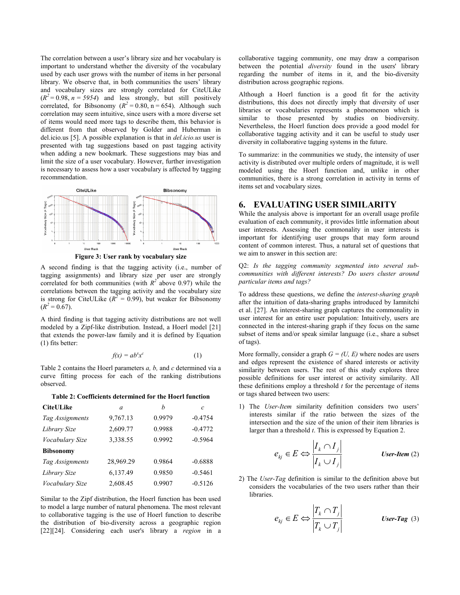The correlation between a user's library size and her vocabulary is important to understand whether the diversity of the vocabulary used by each user grows with the number of items in her personal library. We observe that, in both communities the users' library and vocabulary sizes are strongly correlated for CiteULike  $(R<sup>2</sup>=0.98, n = 5954)$  and less strongly, but still positively correlated, for Bibsonomy ( $R^2 = 0.80$ , n = 654). Although such correlation may seem intuitive, since users with a more diverse set of items would need more tags to describe them, this behavior is different from that observed by Golder and Huberman in del.icio.us [5]. A possible explanation is that in del.icio.us user is presented with tag suggestions based on past tagging activity when adding a new bookmark. These suggestions may bias and limit the size of a user vocabulary. However, further investigation is necessary to assess how a user vocabulary is affected by tagging recommendation.



A second finding is that the tagging activity (i.e., number of tagging assignments) and library size per user are strongly correlated for both communities (with  $R^2$  above 0.97) while the correlations between the tagging activity and the vocabulary size is strong for CiteULike ( $R^2 = 0.99$ ), but weaker for Bibsonomy  $(R^2 = 0.67)$ .

A third finding is that tagging activity distributions are not well modeled by a Zipf-like distribution. Instead, a Hoerl model [21] that extends the power-law family and it is defined by Equation (1) fits better:

$$
f(x) = ab^x x^c \tag{1}
$$

Table 2 contains the Hoerl parameters a, b, and c determined via a curve fitting process for each of the ranking distributions observed.

Table 2: Coefficients determined for the Hoerl function

| <b>CiteULike</b> | $\alpha$  | h      | C         |
|------------------|-----------|--------|-----------|
| Tag Assignments  | 9,767.13  | 0.9979 | $-0.4754$ |
| Library Size     | 2,609.77  | 0.9988 | $-0.4772$ |
| Vocabulary Size  | 3,338.55  | 0.9992 | $-0.5964$ |
| <b>Bibsonomy</b> |           |        |           |
| Tag Assignments  | 28,969.29 | 0.9864 | $-0.6888$ |
| Library Size     | 6,137.49  | 0.9850 | $-0.5461$ |
| Vocabulary Size  | 2,608.45  | 0.9907 | $-0.5126$ |

Similar to the Zipf distribution, the Hoerl function has been used to model a large number of natural phenomena. The most relevant to collaborative tagging is the use of Hoerl function to describe the distribution of bio-diversity across a geographic region [22][24]. Considering each user's library a region in a collaborative tagging community, one may draw a comparison between the potential *diversity* found in the users' library regarding the number of items in it, and the bio-diversity distribution across geographic regions.

Although a Hoerl function is a good fit for the activity distributions, this does not directly imply that diversity of user libraries or vocabularies represents a phenomenon which is similar to those presented by studies on biodiversity. Nevertheless, the Hoerl function does provide a good model for collaborative tagging activity and it can be useful to study user diversity in collaborative tagging systems in the future.

To summarize: in the communities we study, the intensity of user activity is distributed over multiple orders of magnitude, it is well modeled using the Hoerl function and, unlike in other communities, there is a strong correlation in activity in terms of items set and vocabulary sizes.

## 6. EVALUATING USER SIMILARITY

While the analysis above is important for an overall usage profile evaluation of each community, it provides little information about user interests. Assessing the commonality in user interests is important for identifying user groups that may form around content of common interest. Thus, a natural set of questions that we aim to answer in this section are:

Q2: Is the tagging community segmented into several subcommunities with different interests? Do users cluster around particular items and tags?

To address these questions, we define the interest-sharing graph after the intuition of data-sharing graphs introduced by Iamnitchi et al. [27]. An interest-sharing graph captures the commonality in user interest for an entire user population: Intuitively, users are connected in the interest-sharing graph if they focus on the same subset of items and/or speak similar language (i.e., share a subset of tags).

More formally, consider a graph  $G = (U, E)$  where nodes are users and edges represent the existence of shared interests or activity similarity between users. The rest of this study explores three possible definitions for user interest or activity similarity. All these definitions employ a threshold  $t$  for the percentage of items or tags shared between two users:

1) The User-Item similarity definition considers two users' interests similar if the ratio between the sizes of the intersection and the size of the union of their item libraries is larger than a threshold  $t$ . This is expressed by Equation 2.

$$
e_{kj} \in E \Leftrightarrow \frac{\left|I_k \cap I_j\right|}{\left|I_k \cup I_j\right|} \qquad \text{User-Item (2)}
$$

2) The User-Tag definition is similar to the definition above but considers the vocabularies of the two users rather than their libraries.

$$
e_{kj} \in E \Leftrightarrow \frac{\left|T_k \cap T_j\right|}{\left|T_k \cup T_j\right|} \qquad \text{User-Tag (3)}
$$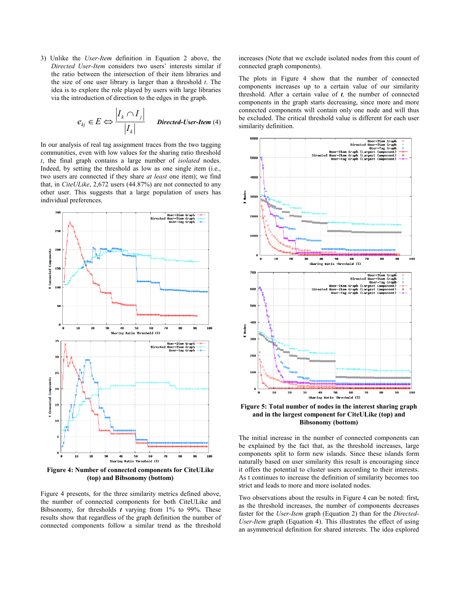3) Unlike the User-Item definition in Equation 2 above, the Directed User-Item considers two users' interests similar if the ratio between the intersection of their item libraries and the size of one user library is larger than a threshold  $t$ . The idea is to explore the role played by users with large libraries via the introduction of direction to the edges in the graph.

$$
e_{kj} \in E \Leftrightarrow \frac{\left|I_k \cap I_j\right|}{\left|I_k\right|} \quad \text{Directed-User-Item (4)}
$$

In our analysis of real tag assignment traces from the two tagging communities, even with low values for the sharing ratio threshold t, the final graph contains a large number of isolated nodes. Indeed, by setting the threshold as low as one single item (i.e., two users are connected if they share at least one item); we find that, in CiteULike, 2,672 users (44.87%) are not connected to any other user. This suggests that a large population of users has individual preferences.



(top) and Bibsonomy (bottom)

Figure 4 presents, for the three similarity metrics defined above, the number of connected components for both CiteULike and Bibsonomy, for thresholds  $t$  varying from 1% to 99%. These results show that regardless of the graph definition the number of connected components follow a similar trend as the threshold

increases (Note that we exclude isolated nodes from this count of connected graph components).

The plots in Figure 4 show that the number of connected components increases up to a certain value of our similarity threshold. After a certain value of  $t$ , the number of connected components in the graph starts decreasing, since more and more connected components will contain only one node and will thus be excluded. The critical threshold value is different for each user similarity definition.



Figure 5: Total number of nodes in the interest sharing graph and in the largest component for CiteULike (top) and Bibsonomy (bottom)

The initial increase in the number of connected components can be explained by the fact that, as the threshold increases, large components split to form new islands. Since these islands form naturally based on user similarity this result is encouraging since it offers the potential to cluster users according to their interests. As t continues to increase the definition of similarity becomes too strict and leads to more and more isolated nodes.

Two observations about the results in Figure 4 can be noted: first, as the threshold increases, the number of components decreases faster for the User-Item graph (Equation 2) than for the Directed-User-Item graph (Equation 4). This illustrates the effect of using an asymmetrical definition for shared interests. The idea explored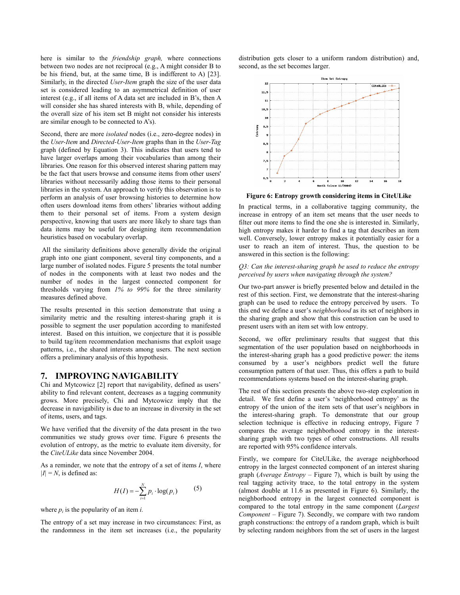here is similar to the *friendship graph*, where connections between two nodes are not reciprocal (e.g., A might consider B to be his friend, but, at the same time, B is indifferent to A) [23]. Similarly, in the directed User-Item graph the size of the user data set is considered leading to an asymmetrical definition of user interest (e.g., if all items of A data set are included in B's, then A will consider she has shared interests with B, while, depending of the overall size of his item set B might not consider his interests are similar enough to be connected to A's).

Second, there are more isolated nodes (i.e., zero-degree nodes) in the User-Item and Directed-User-Item graphs than in the User-Tag graph (defined by Equation 3). This indicates that users tend to have larger overlaps among their vocabularies than among their libraries. One reason for this observed interest sharing pattern may be the fact that users browse and consume items from other users' libraries without necessarily adding those items to their personal libraries in the system. An approach to verify this observation is to perform an analysis of user browsing histories to determine how often users download items from others' libraries without adding them to their personal set of items. From a system design perspective, knowing that users are more likely to share tags than data items may be useful for designing item recommendation heuristics based on vocabulary overlap.

 All the similarity definitions above generally divide the original graph into one giant component, several tiny components, and a large number of isolated nodes. Figure 5 presents the total number of nodes in the components with at least two nodes and the number of nodes in the largest connected component for thresholds varying from  $1\%$  to 99% for the three similarity measures defined above.

The results presented in this section demonstrate that using a similarity metric and the resulting interest-sharing graph it is possible to segment the user population according to manifested interest. Based on this intuition, we conjecture that it is possible to build tag/item recommendation mechanisms that exploit usage patterns, i.e., the shared interests among users. The next section offers a preliminary analysis of this hypothesis.

## 7. IMPROVING NAVIGABILITY

Chi and Mytcowicz [2] report that navigability, defined as users' ability to find relevant content, decreases as a tagging community grows. More precisely, Chi and Mytcowicz imply that the decrease in navigability is due to an increase in diversity in the set of items, users, and tags.

We have verified that the diversity of the data present in the two communities we study grows over time. Figure 6 presents the evolution of entropy, as the metric to evaluate item diversity, for the CiteULike data since November 2004.

As a reminder, we note that the entropy of a set of items  $I$ , where  $|I| = N$ , is defined as:

$$
H(I) = -\sum_{i=1}^{N} p_i \cdot \log(p_i) \tag{5}
$$

where  $p_i$  is the popularity of an item *i*.

The entropy of a set may increase in two circumstances: First, as the randomness in the item set increases (i.e., the popularity

distribution gets closer to a uniform random distribution) and, second, as the set becomes larger.



Figure 6: Entropy growth considering items in CiteULike

In practical terms, in a collaborative tagging community, the increase in entropy of an item set means that the user needs to filter out more items to find the one she is interested in. Similarly, high entropy makes it harder to find a tag that describes an item well. Conversely, lower entropy makes it potentially easier for a user to reach an item of interest. Thus, the question to be answered in this section is the following:

#### Q3: Can the interest-sharing graph be used to reduce the entropy perceived by users when navigating through the system?

Our two-part answer is briefly presented below and detailed in the rest of this section. First, we demonstrate that the interest-sharing graph can be used to reduce the entropy perceived by users. To this end we define a user's neighborhood as its set of neighbors in the sharing graph and show that this construction can be used to present users with an item set with low entropy.

Second, we offer preliminary results that suggest that this segmentation of the user population based on neighborhoods in the interest-sharing graph has a good predictive power: the items consumed by a user's neighbors predict well the future consumption pattern of that user. Thus, this offers a path to build recommendations systems based on the interest-sharing graph.

The rest of this section presents the above two-step exploration in detail. We first define a user's 'neighborhood entropy' as the entropy of the union of the item sets of that user's neighbors in the interest-sharing graph. To demonstrate that our group selection technique is effective in reducing entropy, Figure 7 compares the average neighborhood entropy in the interestsharing graph with two types of other constructions. All results are reported with 95% confidence intervals.

Firstly, we compare for CiteULike, the average neighborhood entropy in the largest connected component of an interest sharing graph (*Average Entropy – Figure 7*), which is built by using the real tagging activity trace, to the total entropy in the system (almost double at 11.6 as presented in Figure 6). Similarly, the neighborhood entropy in the largest connected component is compared to the total entropy in the same component (Largest Component – Figure 7). Secondly, we compare with two random graph constructions: the entropy of a random graph, which is built by selecting random neighbors from the set of users in the largest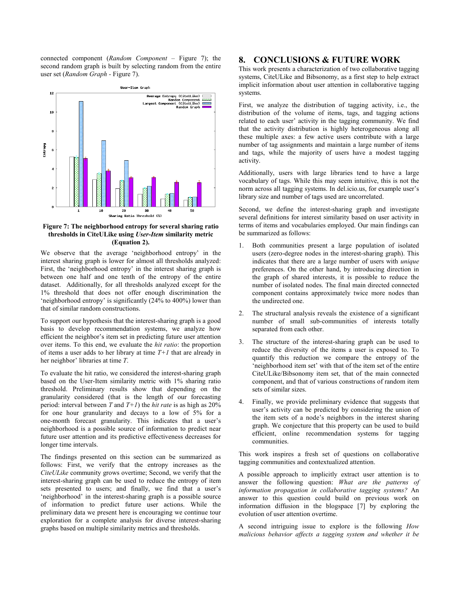connected component (Random Component – Figure 7); the second random graph is built by selecting random from the entire user set (Random Graph - Figure 7).



Figure 7: The neighborhood entropy for several sharing ratio thresholds in CiteULike using User-Item similarity metric (Equation 2).

We observe that the average 'neighborhood entropy' in the interest sharing graph is lower for almost all thresholds analyzed: First, the 'neighborhood entropy' in the interest sharing graph is between one half and one tenth of the entropy of the entire dataset. Additionally, for all thresholds analyzed except for the 1% threshold that does not offer enough discrimination the 'neighborhood entropy' is significantly (24% to 400%) lower than that of similar random constructions.

To support our hypothesis that the interest-sharing graph is a good basis to develop recommendation systems, we analyze how efficient the neighbor's item set in predicting future user attention over items. To this end, we evaluate the hit ratio: the proportion of items a user adds to her library at time  $T+1$  that are already in her neighbor' libraries at time T.

To evaluate the hit ratio, we considered the interest-sharing graph based on the User-Item similarity metric with 1% sharing ratio threshold. Preliminary results show that depending on the granularity considered (that is the length of our forecasting period: interval between T and  $T+1$ ) the *hit rate* is as high as  $20\%$ for one hour granularity and decays to a low of 5% for a one-month forecast granularity. This indicates that a user's neighborhood is a possible source of information to predict near future user attention and its predictive effectiveness decreases for longer time intervals.

The findings presented on this section can be summarized as follows: First, we verify that the entropy increases as the CiteULike community grows overtime; Second, we verify that the interest-sharing graph can be used to reduce the entropy of item sets presented to users; and finally, we find that a user's 'neighborhood' in the interest-sharing graph is a possible source of information to predict future user actions. While the preliminary data we present here is encouraging we continue tour exploration for a complete analysis for diverse interest-sharing graphs based on multiple similarity metrics and thresholds.

# 8. CONCLUSIONS & FUTURE WORK

This work presents a characterization of two collaborative tagging systems, CiteULike and Bibsonomy, as a first step to help extract implicit information about user attention in collaborative tagging systems.

First, we analyze the distribution of tagging activity, i.e., the distribution of the volume of items, tags, and tagging actions related to each user' activity in the tagging community. We find that the activity distribution is highly heterogeneous along all these multiple axes: a few active users contribute with a large number of tag assignments and maintain a large number of items and tags, while the majority of users have a modest tagging activity.

Additionally, users with large libraries tend to have a large vocabulary of tags. While this may seem intuitive, this is not the norm across all tagging systems. In del.icio.us, for example user's library size and number of tags used are uncorrelated.

Second, we define the interest-sharing graph and investigate several definitions for interest similarity based on user activity in terms of items and vocabularies employed. Our main findings can be summarized as follows:

- 1. Both communities present a large population of isolated users (zero-degree nodes in the interest-sharing graph). This indicates that there are a large number of users with unique preferences. On the other hand, by introducing direction in the graph of shared interests, it is possible to reduce the number of isolated nodes. The final main directed connected component contains approximately twice more nodes than the undirected one.
- 2. The structural analysis reveals the existence of a significant number of small sub-communities of interests totally separated from each other.
- 3. The structure of the interest-sharing graph can be used to reduce the diversity of the items a user is exposed to. To quantify this reduction we compare the entropy of the 'neighborhood item set' with that of the item set of the entire CiteULike/Bibsonomy item set, that of the main connected component, and that of various constructions of random item sets of similar sizes.
- 4. Finally, we provide preliminary evidence that suggests that user's activity can be predicted by considering the union of the item sets of a node's neighbors in the interest sharing graph. We conjecture that this property can be used to build efficient, online recommendation systems for tagging communities.

This work inspires a fresh set of questions on collaborative tagging communities and contextualized attention.

A possible approach to implicitly extract user attention is to answer the following question: What are the patterns of information propagation in collaborative tagging systems? An answer to this question could build on previous work on information diffusion in the blogspace [7] by exploring the evolution of user attention overtime.

A second intriguing issue to explore is the following How malicious behavior affects a tagging system and whether it be